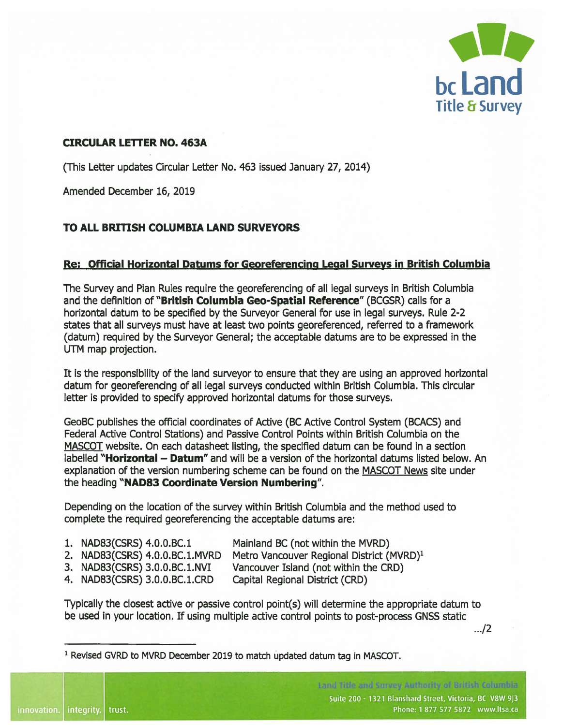

## **CIRCULAR LETTER NO. 463A**

(This Letter updates Circular Letter No. 463 issued January 27, 2014)

Amended December 16, 2019

## **TO ALL BRITISH COLUMBIA LAND SURVEYORS**

## **Re: Official Horizontal Datums for Georeferencinq Legal Surveys in British Columbia**

The Survey and Plan Rules require the georeferencing of all legal surveys in British Columbia and the definition of **"British Columbia Geo-Spatial Reference"** (BCGSR) calls for a horizontal datum to be specified by the Surveyor General for use in legal surveys. Rule 2-2 states that all surveys must have at least two points georeferenced, referred to a framework (datum) required by the Surveyor General; the acceptable datums are to be expressed in the UTM map projection.

It is the responsibility of the land surveyor to ensure that they are using an approved horizontal datum for georeferencing of all legal surveys conducted within British Columbia. This circular letter is provided to specify approved horizontal datums for those surveys.

GeoBC publishes the official coordinates of Active (BC Active Control System (BCACS) and Federal Active Control Stations) and Passive Control Points within British Columbia on the MASCOT website. On each datasheet listing, the specified datum can be found in a section labelled "**Horizontal - Datum**" and will be a version of the horizontal datums listed below. An explanation of the version numbering scheme can be found on the MASCOT News site under the heading **"NAD83 Coordinate Version Numbering".** 

Depending on the location of the survey within British Columbia and the method used to complete the required georeferencing the acceptable datums are:

1. **NAD83(CSRS) 4.0.0.BC.1** 

innovation. | integrity. | trust.

- Mainland BC (not within the MVRD)
- **2. NAD83(CSRS) 4.0.0.BC.1.MVRD**  Metro Vancouver Regional District (MVRD)<sup>1</sup>
- **3. NAD83(CSRS) 3.0.0.BC.1.NVI**  Vancouver Island (not within the CRD)
- **4. NAD83(CSRS) 3.0.0.BC.1.CRD**  Capital Regional District (CRD)

Typically the closest active or passive control point(s) will determine the appropriate datum to be used in your location. If using multiple active control points to post-process GNSS static

 $1.12$ 

1 Revised GVRD to MVRD December 2019 to match updated datum tag in MASCOT.